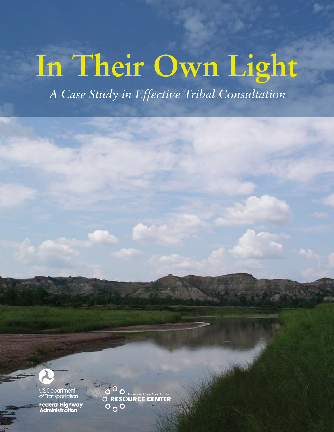# **In Their Own Light**

 *A Case Study in Effective Tribal Consultation*



J.S. Department of Transportation Federal Highway<br>Administration

 $\circ$  o **O RESOURCE CENTER**  $\circ$   $\circ$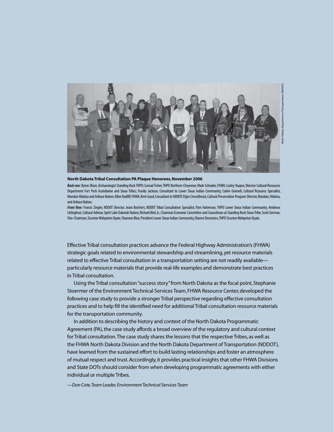

**North Dakota Tribal Consultation PA Plaque Honorees, November 2006**

*Back row:* Byron Olson, Archaeologist Standing Rock THPO; Conrad Fisher, THPO Northern Cheyenne; Mark Schrader, FHWA; Curley Youpee, Director Cultural Resources Department Fort Peck Assiniboine and Sioux Tribes; Franky Jackson, Consultant to Lower Sioux Indian Community; Calvin Grinnell, Cultural Resource Specialist, Mandan Hidatsa and Arikara Nation; Allen Radliff, FHWA; Kent Good, Consultant to NDDOT; Elgin CrowsBreast, Cultural Preservation Program Director, Mandan, Hidatsa, and Arikara Nation;

*Front Row:* Francis Ziegler, NDDOT Director; Jeani Borchert, NDDOT Tribal Consultation Specialist; Pam Halverson, THPO Lower Sioux Indian Community; Ambrose Littleghost, Cultural Advisor, Spirit Lake Dakotah Nation; Richard Bird, Jr., Chairman Economic Committee and Councilman at Standing Rock Sioux Tribe; Scott German, Vice-Chairman, Sisseton Wahpeton Oyate; Shannon Blue, President Lower Sioux Indian Community; Dianne Desrosiers, THPO Sisseton Wahpeton Oyate.

Effective Tribal consultation practices advance the Federal Highway Administration's (FHWA) strategic goals related to environmental stewardship and streamlining, yet resource materials related to effective Tribal consultation in a transportation setting are not readily available particularly resource materials that provide real-life examples and demonstrate best practices in Tribal consultation.

Using the Tribal consultation "success story" from North Dakota as the focal point, Stephanie Stoermer of the Environment Technical Services Team, FHWA Resource Center, developed the following case study to provide a stronger Tribal perspective regarding effective consultation practices and to help fill the identified need for additional Tribal consultation resource materials for the transportation community.

In addition to describing the history and context of the North Dakota Programmatic Agreement (PA), the case study affords a broad overview of the regulatory and cultural context for Tribal consultation. The case study shares the lessons that the respective Tribes, as well as the FHWA North Dakota Division and the North Dakota Department of Transportation (NDDOT), have learned from the sustained effort to build lasting relationships and foster an atmosphere of mutual respect and trust. Accordingly, it provides practical insights that other FHWA Divisions and State DOTs should consider from when developing programmatic agreements with either individual or multiple Tribes.

*—Don Cote, Team Leader, Environment Technical Services Team*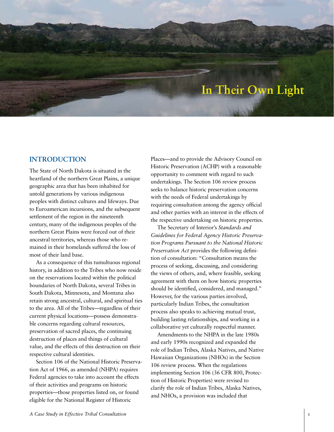# **In Their Own Light**

# **Introduction**

The State of North Dakota is situated in the heartland of the northern Great Plains, a unique geographic area that has been inhabited for untold generations by various indigenous peoples with distinct cultures and lifeways. Due to Euroamerican incursions, and the subsequent settlement of the region in the nineteenth century, many of the indigenous peoples of the northern Great Plains were forced out of their ancestral territories, whereas those who remained in their homelands suffered the loss of most of their land base.

As a consequence of this tumultuous regional history, in addition to the Tribes who now reside on the reservations located within the political boundaries of North Dakota, several Tribes in South Dakota, Minnesota, and Montana also retain strong ancestral, cultural, and spiritual ties to the area. All of the Tribes—regardless of their current physical locations—possess demonstrable concerns regarding cultural resources, preservation of sacred places, the continuing destruction of places and things of cultural value, and the effects of this destruction on their respective cultural identities.

Section 106 of the National Historic Preservation Act of 1966, as amended (NHPA) requires Federal agencies to take into account the effects of their activities and programs on historic properties—those properties listed on, or found eligible for the National Register of Historic

Places—and to provide the Advisory Council on Historic Preservation (ACHP) with a reasonable opportunity to comment with regard to such undertakings. The Section 106 review process seeks to balance historic preservation concerns with the needs of Federal undertakings by requiring consultation among the agency official and other parties with an interest in the effects of the respective undertaking on historic properties.

The Secretary of Interior's *Standards and Guidelines for Federal Agency Historic Preservation Programs Pursuant to the National Historic Preservation Act* provides the following definition of consultation: "Consultation means the process of seeking, discussing, and considering the views of others, and, where feasible, seeking agreement with them on how historic properties should be identified, considered, and managed." However, for the various parties involved, particularly Indian Tribes, the consultation process also speaks to achieving mutual trust, building lasting relationships, and working in a collaborative yet culturally respectful manner.

Amendments to the NHPA in the late 1980s and early 1990s recognized and expanded the role of Indian Tribes, Alaska Natives, and Native Hawaiian Organizations (NHOs) in the Section 106 review process. When the regulations implementing Section 106 (36 CFR 800, Protection of Historic Properties) were revised to clarify the role of Indian Tribes, Alaska Natives, and NHOs, a provision was included that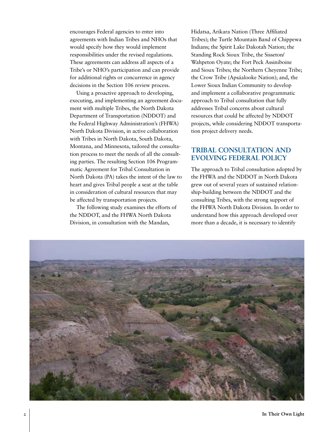encourages Federal agencies to enter into agreements with Indian Tribes and NHOs that would specify how they would implement responsibilities under the revised regulations. These agreements can address all aspects of a Tribe's or NHO's participation and can provide for additional rights or concurrence in agency decisions in the Section 106 review process.

Using a proactive approach to developing, executing, and implementing an agreement document with multiple Tribes, the North Dakota Department of Transportation (NDDOT) and the Federal Highway Administration's (FHWA) North Dakota Division, in active collaboration with Tribes in North Dakota, South Dakota, Montana, and Minnesota, tailored the consultation process to meet the needs of all the consulting parties. The resulting Section 106 Programmatic Agreement for Tribal Consultation in North Dakota (PA) takes the intent of the law to heart and gives Tribal people a seat at the table in consideration of cultural resources that may be affected by transportation projects.

The following study examines the efforts of the NDDOT, and the FHWA North Dakota Division, in consultation with the Mandan,

Hidatsa, Arikara Nation (Three Affiliated Tribes); the Turtle Mountain Band of Chippewa Indians; the Spirit Lake Dakotah Nation; the Standing Rock Sioux Tribe, the Sisseton/ Wahpeton Oyate; the Fort Peck Assiniboine and Sioux Tribes; the Northern Cheyenne Tribe; the Crow Tribe (Apsáalooke Nation); and, the Lower Sioux Indian Community to develop and implement a collaborative programmatic approach to Tribal consultation that fully addresses Tribal concerns about cultural resources that could be affected by NDDOT projects, while considering NDDOT transportation project delivery needs.

# **Tribal Consultation and Evolving Federal Policy**

The approach to Tribal consultation adopted by the FHWA and the NDDOT in North Dakota grew out of several years of sustained relationship-building between the NDDOT and the consulting Tribes, with the strong support of the FHWA North Dakota Division. In order to understand how this approach developed over more than a decade, it is necessary to identify

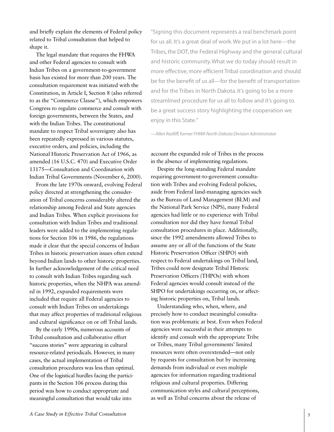and briefly explain the elements of Federal policy related to Tribal consultation that helped to shape it.

The legal mandate that requires the FHWA and other Federal agencies to consult with Indian Tribes on a government-to-government basis has existed for more than 200 years. The consultation requirement was initiated with the Constitution, in Article I, Section 8 (also referred to as the "Commerce Clause"), which empowers Congress to regulate commerce and consult with foreign governments, between the States, and with the Indian Tribes. The constitutional mandate to respect Tribal sovereignty also has been repeatedly expressed in various statutes, executive orders, and policies, including the National Historic Preservation Act of 1966, as amended (16 U.S.C. 470) and Executive Order 13175—Consultation and Coordination with Indian Tribal Governments (November 6, 2000).

From the late 1970s onward, evolving Federal policy directed at strengthening the consideration of Tribal concerns considerably altered the relationship among Federal and State agencies and Indian Tribes. When explicit provisions for consultation with Indian Tribes and traditional leaders were added to the implementing regulations for Section 106 in 1986, the regulations made it clear that the special concerns of Indian Tribes in historic preservation issues often extend beyond Indian lands to other historic properties. In further acknowledgement of the critical need to consult with Indian Tribes regarding such historic properties, when the NHPA was amended in 1992, expanded requirements were included that require all Federal agencies to consult with Indian Tribes on undertakings that may affect properties of traditional religious and cultural significance on or off Tribal lands.

By the early 1990s, numerous accounts of Tribal consultation and collaborative effort "success stories" were appearing in cultural resource-related periodicals. However, in many cases, the actual implementation of Tribal consultation procedures was less than optimal. One of the logistical hurdles facing the participants in the Section 106 process during this period was how to conduct appropriate and meaningful consultation that would take into

"Signing this document represents a real benchmark point for us all. It's a great deal of work. We put in a lot here—the Tribes, the DOT, the Federal Highway and the general cultural and historic community. What we do today should result in more effective, more efficient Tribal coordination and should be for the benefit of us all—for the benefit of transportation and for the Tribes in North Dakota. It's going to be a more streamlined procedure for us all to follow and it's going to be a great success story highlighting the cooperation we enjoy in this State."

*—Allen Radliff, former FHWA North Dakota Division Administrator*

account the expanded role of Tribes in the process in the absence of implementing regulations.

Despite the long-standing Federal mandate requiring government-to-government consultation with Tribes and evolving Federal policies, aside from Federal land-managing agencies such as the Bureau of Land Management (BLM) and the National Park Service (NPS), many Federal agencies had little or no experience with Tribal consultation nor did they have formal Tribal consultation procedures in place. Additionally, since the 1992 amendments allowed Tribes to assume any or all of the functions of the State Historic Preservation Officer (SHPO) with respect to Federal undertakings on Tribal land, Tribes could now designate Tribal Historic Preservation Officers (THPOs) with whom Federal agencies would consult instead of the SHPO for undertakings occurring on, or affecting historic properties on, Tribal lands.

Understanding who, when, where, and precisely how to conduct meaningful consultation was problematic at best. Even when Federal agencies were successful in their attempts to identify and consult with the appropriate Tribe or Tribes, many Tribal governments' limited resources were often overextended—not only by requests for consultation but by increasing demands from individual or even multiple agencies for information regarding traditional religious and cultural properties. Differing communication styles and cultural perceptions, as well as Tribal concerns about the release of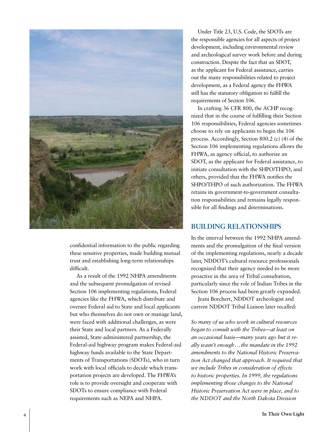

confidential information to the public regarding these sensitive properties, made building mutual trust and establishing long-term relationships difficult.

As a result of the 1992 NHPA amendments and the subsequent promulgation of revised Section 106 implementing regulations, Federal agencies like the FHWA, which distribute and oversee Federal aid to State and local applicants but who themselves do not own or manage land, were faced with additional challenges, as were their State and local partners. As a Federally assisted, State-administered partnership, the Federal-aid highway program makes Federal-aid highway funds available to the State Departments of Transportations (SDOTs), who in turn work with local officials to decide which transportation projects are developed. The FHWA's role is to provide oversight and cooperate with SDOTs to ensure compliance with Federal requirements such as NEPA and NHPA.

Under Title 23, U.S. Code, the SDOTs are the responsible agencies for all aspects of project development, including environmental review and archeological survey work before and during construction. Despite the fact that an SDOT, as the applicant for Federal assistance, carries out the many responsibilities related to project development, as a Federal agency the FHWA still has the statutory obligation to fulfill the requirements of Section 106.

In crafting 36 CFR 800, the ACHP recognized that in the course of fulfilling their Section 106 responsibilities, Federal agencies sometimes choose to rely on applicants to begin the 106 process. Accordingly, Section 800.2 (c) (4) of the Section 106 implementing regulations allows the FHWA, as agency official, to authorize an SDOT, as the applicant for Federal assistance, to initiate consultation with the SHPO/THPO, and others, provided that the FHWA notifies the SHPO/THPO of such authorization. The FHWA retains its government-to-government consultation responsibilities and remains legally responsible for all findings and determinations.

# **Building Relationships**

In the interval between the 1992 NHPA amendments and the promulgation of the final version of the implementing regulations, nearly a decade later, NDDOT's cultural resource professionals recognized that their agency needed to be more proactive in the area of Tribal consultation, particularly since the role of Indian Tribes in the Section 106 process had been greatly expanded.

Jeani Borchert, NDDOT archeologist and current NDDOT Tribal Liaison later recalled:

*So many of us who work in cultural resources began to consult with the Tribes—at least on an occasional basis—many years ago but it really wasn't enough...the mandate in the 1992 amendments to the National Historic Preservation Act changed that approach. It required that we include Tribes in consideration of effects to historic properties. In 1999, the regulations implementing those changes to the National Historic Preservation Act were in place, and to the NDDOT and the North Dakota Division*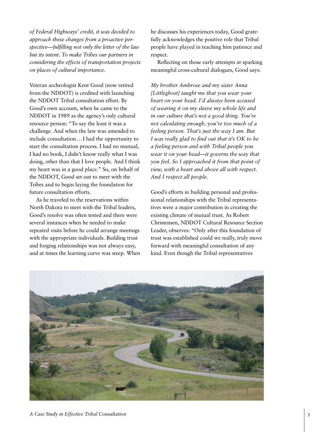*of Federal Highways' credit, it was decided to approach these changes from a proactive perspective—fulfilling not only the letter of the law but its intent. To make Tribes our partners in considering the effects of transportation projects on places of cultural importance.*

Veteran archeologist Kent Good (now retired from the NDDOT) is credited with launching the NDDOT Tribal consultation effort. By Good's own account, when he came to the NDDOT in 1989 as the agency's only cultural resource person: "To say the least it was a challenge. And when the law was amended to include consultation*...*I had the opportunity to start the consultation process. I had no manual, I had no book, I didn't know really what I was doing, other than that I love people. And I think my heart was in a good place." So, on behalf of the NDDOT, Good set out to meet with the Tribes and to begin laying the foundation for future consultation efforts.

As he traveled to the reservations within North Dakota to meet with the Tribal leaders, Good's resolve was often tested and there were several instances when he needed to make repeated visits before he could arrange meetings with the appropriate individuals. Building trust and forging relationships was not always easy, and at times the learning curve was steep. When

he discusses his experiences today, Good gratefully acknowledges the positive role that Tribal people have played in teaching him patience and respect.

Reflecting on those early attempts at sparking meaningful cross-cultural dialogues, Good says:

*My brother Ambrose and my sister Anna [Littleghost] taught me that you wear your heart on your head. I'd always been accused of wearing it on my sleeve my whole life and in our culture that's not a good thing. You're not calculating enough, you're too much of a feeling person. That's just the way I am. But I was really glad to find out that it's OK to be a feeling person and with Tribal people you wear it on your head—it governs the way that you feel. So I approached it from that point of view, with a heart and above all with respect. And I respect all people.*

Good's efforts in building personal and professional relationships with the Tribal representatives were a major contribution in creating the existing climate of mutual trust. As Robert Christensen, NDDOT Cultural Resource Section Leader, observes: "Only after this foundation of trust was established could we really, truly move forward with meaningful consultation of any kind. Even though the Tribal representatives

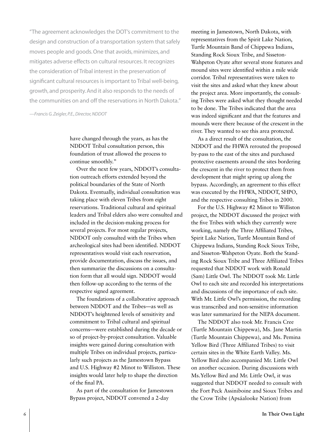"The agreement acknowledges the DOT's commitment to the design and construction of a transportation system that safely moves people and goods. One that avoids, minimizes, and mitigates adverse effects on cultural resources. It recognizes the consideration of Tribal interest in the preservation of significant cultural resources is important to Tribal well-being, growth, and prosperity. And it also responds to the needs of the communities on and off the reservations in North Dakota."

*—Francis G. Zeigler, P.E., Director, NDDOT*

have changed through the years, as has the NDDOT Tribal consultation person, this foundation of trust allowed the process to continue smoothly."

Over the next few years, NDDOT's consultation outreach efforts extended beyond the political boundaries of the State of North Dakota. Eventually, individual consultation was taking place with eleven Tribes from eight reservations. Traditional cultural and spiritual leaders and Tribal elders also were consulted and included in the decision-making process for several projects. For most regular projects, NDDOT only consulted with the Tribes when archeological sites had been identified. NDDOT representatives would visit each reservation, provide documentation, discuss the issues, and then summarize the discussions on a consultation form that all would sign. NDDOT would then follow-up according to the terms of the respective signed agreement.

The foundations of a collaborative approach between NDDOT and the Tribes—as well as NDDOT's heightened levels of sensitivity and commitment to Tribal cultural and spiritual concerns—were established during the decade or so of project-by-project consultation. Valuable insights were gained during consultation with multiple Tribes on individual projects, particularly such projects as the Jamestown Bypass and U.S. Highway #2 Minot to Williston. These insights would later help to shape the direction of the final PA.

As part of the consultation for Jamestown Bypass project, NDDOT convened a 2-day

meeting in Jamestown, North Dakota, with representatives from the Spirit Lake Nation, Turtle Mountain Band of Chippewa Indians, Standing Rock Sioux Tribe, and Sisseton-Wahpeton Oyate after several stone features and mound sites were identified within a mile wide corridor. Tribal representatives were taken to visit the sites and asked what they knew about the project area. More importantly, the consulting Tribes were asked what they thought needed to be done. The Tribes indicated that the area was indeed significant and that the features and mounds were there because of the crescent in the river. They wanted to see this area protected.

As a direct result of the consultation, the NDDOT and the FHWA rerouted the proposed by-pass to the east of the sites and purchased protective easements around the sites bordering the crescent in the river to protect them from development that might spring up along the bypass. Accordingly, an agreement to this effect was executed by the FHWA, NDDOT, SHPO, and the respective consulting Tribes in 2000.

For the U.S. Highway #2 Minot to Williston project, the NDDOT discussed the project with the five Tribes with which they currently were working, namely the Three Affiliated Tribes, Spirit Lake Nation, Turtle Mountain Band of Chippewa Indians, Standing Rock Sioux Tribe, and Sisseton-Wahpeton Oyate. Both the Standing Rock Sioux Tribe and Three Affiliated Tribes requested that NDDOT work with Ronald (Sam) Little Owl. The NDDOT took Mr. Little Owl to each site and recorded his interpretations and discussions of the importance of each site. With Mr. Little Owl's permission, the recording was transcribed and non-sensitive information was later summarized for the NEPA document.

The NDDOT also took Mr. Francis Cree (Turtle Mountain Chippewa), Ms. Jane Martin (Turtle Mountain Chippewa), and Ms. Pemina Yellow Bird (Three Affiliated Tribes) to visit certain sites in the White Earth Valley. Ms. Yellow Bird also accompanied Mr. Little Owl on another occasion. During discussions with Ms.Yellow Bird and Mr. Little Owl, it was suggested that NDDOT needed to consult with the Fort Peck Assiniboine and Sioux Tribes and the Crow Tribe (Apsáalooke Nation) from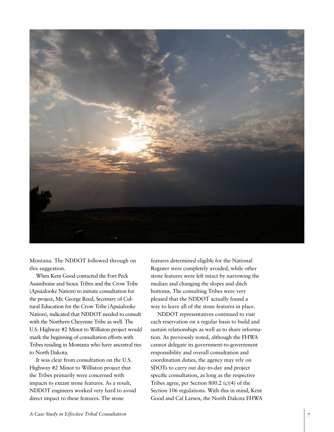

Montana. The NDDOT followed through on this suggestion.

When Kent Good contacted the Fort Peck Assiniboine and Sioux Tribes and the Crow Tribe (Apsáalooke Nation) to initiate consultation for the project, Mr. George Reed, Secretary of Cultural Education for the Crow Tribe (Apsáalooke Nation), indicated that NDDOT needed to consult with the Northern Cheyenne Tribe as well. The U.S. Highway #2 Minot to Williston project would mark the beginning of consultation efforts with Tribes residing in Montana who have ancestral ties to North Dakota.

It was clear from consultation on the U.S. Highway #2 Minot to Williston project that the Tribes primarily were concerned with impacts to extant stone features. As a result, NDDOT engineers worked very hard to avoid direct impact to these features. The stone

features determined eligible for the National Register were completely avoided, while other stone features were left intact by narrowing the median and changing the slopes and ditch bottoms. The consulting Tribes were very pleased that the NDDOT actually found a way to leave all of the stone features in place.

NDDOT representatives continued to visit each reservation on a regular basis to build and sustain relationships as well as to share information. As previously noted, although the FHWA cannot delegate its government-to-government responsibility and overall consultation and coordination duties, the agency may rely on SDOTs to carry out day-to-day and project specific consultation, as long as the respective Tribes agree, per Section 800.2 (c)(4) of the Section 106 regulations. With this in mind, Kent Good and Cal Larsen, the North Dakota FHWA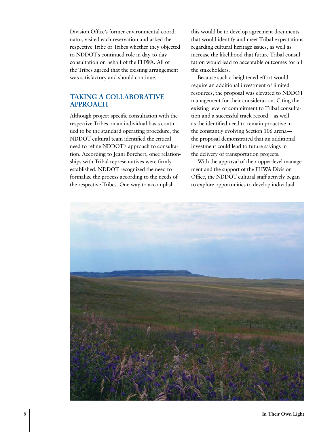Division Office's former environmental coordinator, visited each reservation and asked the respective Tribe or Tribes whether they objected to NDDOT's continued role in day-to-day consultation on behalf of the FHWA. All of the Tribes agreed that the existing arrangement was satisfactory and should continue.

# **Taking a Collaborative Approach**

Although project-specific consultation with the respective Tribes on an individual basis continued to be the standard operating procedure, the NDDOT cultural team identified the critical need to refine NDDOT's approach to consultation. According to Jeani Borchert, once relationships with Tribal representatives were firmly established, NDDOT recognized the need to formalize the process according to the needs of the respective Tribes. One way to accomplish

this would be to develop agreement documents that would identify and meet Tribal expectations regarding cultural heritage issues, as well as increase the likelihood that future Tribal consultation would lead to acceptable outcomes for all the stakeholders.

Because such a heightened effort would require an additional investment of limited resources, the proposal was elevated to NDDOT management for their consideration. Citing the existing level of commitment to Tribal consultation and a successful track record—as well as the identified need to remain proactive in the constantly evolving Section 106 arena the proposal demonstrated that an additional investment could lead to future savings in the delivery of transportation projects.

With the approval of their upper-level management and the support of the FHWA Division Office, the NDDOT cultural staff actively began to explore opportunities to develop individual

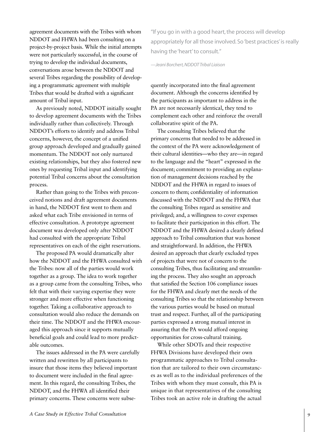agreement documents with the Tribes with whom NDDOT and FHWA had been consulting on a project-by-project basis. While the initial attempts were not particularly successful, in the course of trying to develop the individual documents, conversations arose between the NDDOT and several Tribes regarding the possibility of developing a programmatic agreement with multiple Tribes that would be drafted with a significant amount of Tribal input.

As previously noted, NDDOT initially sought to develop agreement documents with the Tribes individually rather than collectively. Through NDDOT's efforts to identify and address Tribal concerns, however, the concept of a unified group approach developed and gradually gained momentum. The NDDOT not only nurtured existing relationships, but they also fostered new ones by requesting Tribal input and identifying potential Tribal concerns about the consultation process.

Rather than going to the Tribes with preconceived notions and draft agreement documents in hand, the NDDOT first went to them and asked what each Tribe envisioned in terms of effective consultation. A prototype agreement document was developed only after NDDOT had consulted with the appropriate Tribal representatives on each of the eight reservations.

The proposed PA would dramatically alter how the NDDOT and the FHWA consulted with the Tribes: now all of the parties would work together as a group. The idea to work together as a group came from the consulting Tribes, who felt that with their varying expertise they were stronger and more effective when functioning together. Taking a collaborative approach to consultation would also reduce the demands on their time. The NDDOT and the FHWA encouraged this approach since it supports mutually beneficial goals and could lead to more predictable outcomes.

The issues addressed in the PA were carefully written and rewritten by all participants to insure that those items they believed important to document were included in the final agreement. In this regard, the consulting Tribes, the NDDOT, and the FHWA all identified their primary concerns. These concerns were subse"If you go in with a good heart, the process will develop appropriately for all those involved. So 'best practices' is really having the 'heart' to consult."

*—Jeani Borchert, NDDOT Tribal Liaison*

quently incorporated into the final agreement document. Although the concerns identified by the participants as important to address in the PA are not necessarily identical, they tend to complement each other and reinforce the overall collaborative spirit of the PA.

The consulting Tribes believed that the primary concerns that needed to be addressed in the context of the PA were acknowledgement of their cultural identities—who they are—in regard to the language and the "heart" expressed in the document; commitment to providing an explanation of management decisions reached by the NDDOT and the FHWA in regard to issues of concern to them; confidentiality of information discussed with the NDDOT and the FHWA that the consulting Tribes regard as sensitive and privileged; and, a willingness to cover expenses to facilitate their participation in this effort. The NDDOT and the FHWA desired a clearly defined approach to Tribal consultation that was honest and straightforward. In addition, the FHWA desired an approach that clearly excluded types of projects that were not of concern to the consulting Tribes, thus facilitating and streamlining the process. They also sought an approach that satisfied the Section 106 compliance issues for the FHWA and clearly met the needs of the consulting Tribes so that the relationship between the various parties would be based on mutual trust and respect. Further, all of the participating parties expressed a strong mutual interest in assuring that the PA would afford ongoing opportunities for cross-cultural training.

While other SDOTs and their respective FHWA Divisions have developed their own programmatic approaches to Tribal consultation that are tailored to their own circumstances as well as to the individual preferences of the Tribes with whom they must consult, this PA is unique in that representatives of the consulting Tribes took an active role in drafting the actual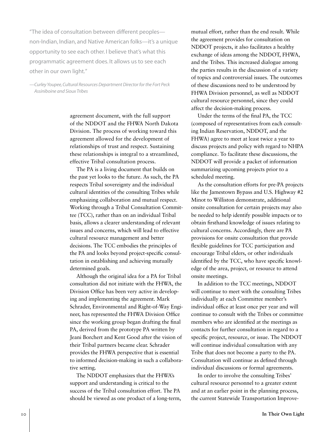"The idea of consultation between different peoples non-Indian, Indian, and Native American folks—it's a unique opportunity to see each other. I believe that's what this programmatic agreement does. It allows us to see each other in our own light."

*—Curley Youpee, Cultural Resources Department Director for the Fort Peck Assiniboine and Sioux Tribes*

> agreement document, with the full support of the NDDOT and the FHWA North Dakota Division. The process of working toward this agreement allowed for the development of relationships of trust and respect. Sustaining these relationships is integral to a streamlined, effective Tribal consultation process.

The PA is a living document that builds on the past yet looks to the future. As such, the PA respects Tribal sovereignty and the individual cultural identities of the consulting Tribes while emphasizing collaboration and mutual respect. Working through a Tribal Consultation Committee (TCC), rather than on an individual Tribal basis, allows a clearer understanding of relevant issues and concerns, which will lead to effective cultural resource management and better decisions. The TCC embodies the principles of the PA and looks beyond project-specific consultation in establishing and achieving mutually determined goals.

Although the original idea for a PA for Tribal consultation did not initiate with the FHWA, the Division Office has been very active in developing and implementing the agreement. Mark Schrader, Environmental and Right-of-Way Engineer, has represented the FHWA Division Office since the working group began drafting the final PA, derived from the prototype PA written by Jeani Borchert and Kent Good after the vision of their Tribal partners became clear. Schrader provides the FHWA perspective that is essential to informed decision-making in such a collaborative setting.

The NDDOT emphasizes that the FHWA's support and understanding is critical to the success of the Tribal consultation effort. The PA should be viewed as one product of a long-term,

mutual effort, rather than the end result. While the agreement provides for consultation on NDDOT projects, it also facilitates a healthy exchange of ideas among the NDDOT, FHWA, and the Tribes. This increased dialogue among the parties results in the discussion of a variety of topics and controversial issues. The outcomes of these discussions need to be understood by FHWA Division personnel, as well as NDDOT cultural resource personnel, since they could affect the decision-making process.

Under the terms of the final PA, the TCC (composed of representatives from each consulting Indian Reservation, NDDOT, and the FHWA) agree to meet at least twice a year to discuss projects and policy with regard to NHPA compliance. To facilitate these discussions, the NDDOT will provide a packet of information summarizing upcoming projects prior to a scheduled meeting.

As the consultation efforts for pre-PA projects like the Jamestown Bypass and U.S. Highway #2 Minot to Williston demonstrate, additional onsite consultation for certain projects may also be needed to help identify possible impacts or to obtain firsthand knowledge of issues relating to cultural concerns. Accordingly, there are PA provisions for onsite consultation that provide flexible guidelines for TCC participation and encourage Tribal elders, or other individuals identified by the TCC, who have specific knowledge of the area, project, or resource to attend onsite meetings.

In addition to the TCC meetings, NDDOT will continue to meet with the consulting Tribes individually at each Committee member's individual office at least once per year and will continue to consult with the Tribes or committee members who are identified at the meetings as contacts for further consultation in regard to a specific project, resource, or issue. The NDDOT will continue individual consultation with any Tribe that does not become a party to the PA. Consultation will continue as defined through individual discussions or formal agreements.

In order to involve the consulting Tribes' cultural resource personnel to a greater extent and at an earlier point in the planning process, the current Statewide Transportation Improve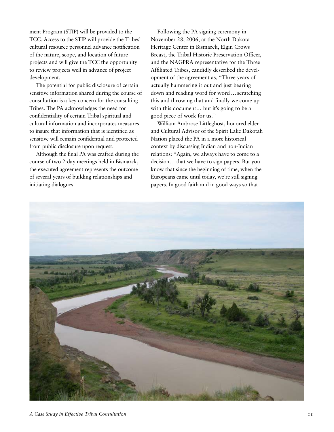ment Program (STIP) will be provided to the TCC. Access to the STIP will provide the Tribes' cultural resource personnel advance notification of the nature, scope, and location of future projects and will give the TCC the opportunity to review projects well in advance of project development.

The potential for public disclosure of certain sensitive information shared during the course of consultation is a key concern for the consulting Tribes. The PA acknowledges the need for confidentiality of certain Tribal spiritual and cultural information and incorporates measures to insure that information that is identified as sensitive will remain confidential and protected from public disclosure upon request.

Although the final PA was crafted during the course of two 2-day meetings held in Bismarck, the executed agreement represents the outcome of several years of building relationships and initiating dialogues.

Following the PA signing ceremony in November 28, 2006, at the North Dakota Heritage Center in Bismarck, Elgin Crows Breast, the Tribal Historic Preservation Officer, and the NAGPRA representative for the Three Affiliated Tribes, candidly described the development of the agreement as, "Three years of actually hammering it out and just bearing down and reading word for word...scratching this and throwing that and finally we come up with this document… but it's going to be a good piece of work for us."

William Ambrose Littleghost, honored elder and Cultural Advisor of the Spirit Lake Dakotah Nation placed the PA in a more historical context by discussing Indian and non-Indian relations: "Again, we always have to come to a decision...that we have to sign papers. But you know that since the beginning of time, when the Europeans came until today, we're still signing papers. In good faith and in good ways so that

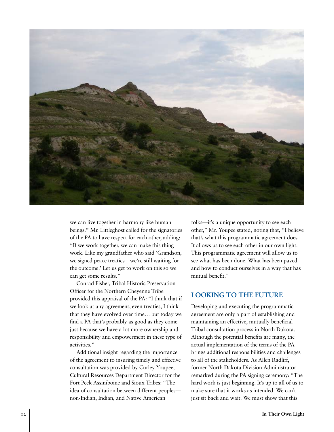

we can live together in harmony like human beings." Mr. Littleghost called for the signatories of the PA to have respect for each other, adding: "If we work together, we can make this thing work. Like my grandfather who said 'Grandson, we signed peace treaties—we're still waiting for the outcome.' Let us get to work on this so we can get some results."

Conrad Fisher, Tribal Historic Preservation Officer for the Northern Cheyenne Tribe provided this appraisal of the PA: "I think that if we look at any agreement, even treaties, I think that they have evolved over time...but today we find a PA that's probably as good as they come just because we have a lot more ownership and responsibility and empowerment in these type of activities."

Additional insight regarding the importance of the agreement to insuring timely and effective consultation was provided by Curley Youpee, Cultural Resources Department Director for the Fort Peck Assiniboine and Sioux Tribes: "The idea of consultation between different peoples non-Indian, Indian, and Native American

folks—it's a unique opportunity to see each other," Mr. Youpee stated, noting that, "I believe that's what this programmatic agreement does. It allows us to see each other in our own light. This programmatic agreement will allow us to see what has been done. What has been paved and how to conduct ourselves in a way that has mutual benefit."

# **Looking to the Future**

Developing and executing the programmatic agreement are only a part of establishing and maintaining an effective, mutually beneficial Tribal consultation process in North Dakota. Although the potential benefits are many, the actual implementation of the terms of the PA brings additional responsibilities and challenges to all of the stakeholders. As Allen Radliff, former North Dakota Division Administrator remarked during the PA signing ceremony: "The hard work is just beginning. It's up to all of us to make sure that it works as intended. We can't just sit back and wait. We must show that this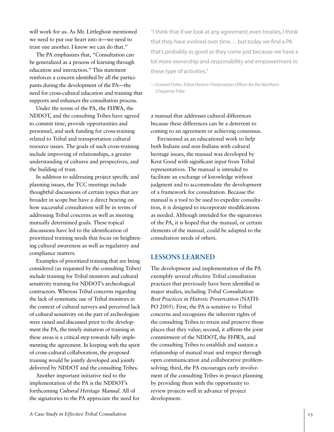will work for us. As Mr. Littleghost mentioned we need to put our heart into it—we need to trust one another. I know we can do that."

The PA emphasizes that, "Consultation can be generalized as a process of learning through education and interaction." This statement reinforces a concern identified by all the participants during the development of the PA—the need for cross-cultural education and training that supports and enhances the consultation process.

Under the terms of the PA, the FHWA, the NDDOT, and the consulting Tribes have agreed to commit time, provide opportunities and personnel, and seek funding for cross-training related to Tribal and transportation cultural resource issues. The goals of such cross-training include improving of relationships, a greater understanding of cultures and perspectives, and the building of trust.

In addition to addressing project specific and planning issues, the TCC meetings include thoughtful discussions of certain topics that are broader in scope but have a direct bearing on how successful consultation will be in terms of addressing Tribal concerns as well as meeting mutually determined goals. These topical discussions have led to the identification of prioritized training needs that focus on heightening cultural awareness as well as regulatory and compliance matters.

Examples of prioritized training that are being considered (as requested by the consulting Tribes) include training for Tribal monitors and cultural sensitivity training for NDDOT's archeological contractors. Whereas Tribal concerns regarding the lack of systematic use of Tribal monitors in the context of cultural surveys and perceived lack of cultural sensitivity on the part of archeologists were raised and discussed prior to the development the PA, the timely initiation of training in these areas is a critical step towards fully implementing the agreement. In keeping with the spirit of cross-cultural collaboration, the proposed training would be jointly developed and jointly delivered by NDDOT and the consulting Tribes.

Another important initiative tied to the implementation of the PA is the NDDOT's forthcoming *Cultural Heritage Manual.* All of the signatories to the PA appreciate the need for

"I think that if we look at any agreement, even treaties, I think that they have evolved over time… but today we find a PA that's probably as good as they come just because we have a lot more ownership and responsibility and empowerment in these type of activities."

*—Conrad Fisher, Tribal Historic Preservation Officer for the Northern Cheyenne Tribe*

a manual that addresses cultural differences because these differences can be a deterrent to coming to an agreement or achieving consensus.

Envisioned as an educational work to help both Indians and non-Indians with cultural heritage issues, the manual was developed by Kent Good with significant input from Tribal representatives. The manual is intended to facilitate an exchange of knowledge without judgment and to accommodate the development of a framework for consultation. Because the manual is a tool to be used to expedite consultation, it is designed to incorporate modifications as needed. Although intended for the signatories of the PA, it is hoped that the manual, or certain elements of the manual, could be adapted to the consultation needs of others.

### **Lessons Learned**

The development and implementation of the PA exemplify several effective Tribal consultation practices that previously have been identified in major studies, including *Tribal Consultation: Best Practices in Historic Preservation* (NATH-PO 2005). First, the PA is sensitive to Tribal concerns and recognizes the inherent rights of the consulting Tribes to retain and preserve those places that they value; second, it affirms the joint commitment of the NDDOT, the FHWA, and the consulting Tribes to establish and sustain a relationship of mutual trust and respect through open communication and collaborative problemsolving; third, the PA encourages early involvement of the consulting Tribes in project planning by providing them with the opportunity to review projects well in advance of project development.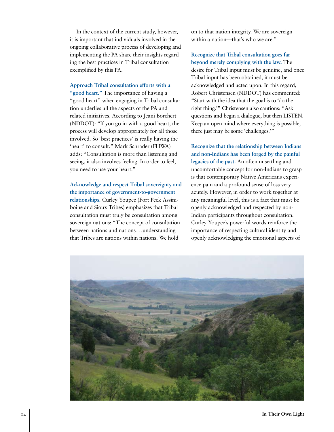In the context of the current study, however, it is important that individuals involved in the ongoing collaborative process of developing and implementing the PA share their insights regarding the best practices in Tribal consultation exemplified by this PA.

#### **Approach Tribal consultation efforts with a**

**"good heart."** The importance of having a "good heart" when engaging in Tribal consultation underlies all the aspects of the PA and related initiatives. According to Jeani Borchert (NDDOT): "If you go in with a good heart, the process will develop appropriately for all those involved. So 'best practices' is really having the 'heart' to consult." Mark Schrader (FHWA) adds: "Consultation is more than listening and seeing, it also involves feeling. In order to feel, you need to use your heart."

**Acknowledge and respect Tribal sovereignty and the importance of government-to-government relationships.** Curley Youpee (Fort Peck Assiniboine and Sioux Tribes) emphasizes that Tribal consultation must truly be consultation among sovereign nations: "The concept of consultation between nations and nations...understanding that Tribes are nations within nations. We hold

on to that nation integrity. We are sovereign within a nation—that's who we are."

**Recognize that Tribal consultation goes far beyond merely complying with the law.** The desire for Tribal input must be genuine, and once Tribal input has been obtained, it must be acknowledged and acted upon. In this regard, Robert Christensen (NDDOT) has commented: "Start with the idea that the goal is to 'do the right thing.'" Christensen also cautions: "Ask questions and begin a dialogue, but then LISTEN. Keep an open mind where everything is possible, there just may be some 'challenges.'"

**Recognize that the relationship between Indians and non-Indians has been forged by the painful legacies of the past.** An often unsettling and uncomfortable concept for non-Indians to grasp is that contemporary Native Americans experience pain and a profound sense of loss very acutely. However, in order to work together at any meaningful level, this is a fact that must be openly acknowledged and respected by non-Indian participants throughout consultation. Curley Youpee's powerful words reinforce the importance of respecting cultural identity and openly acknowledging the emotional aspects of

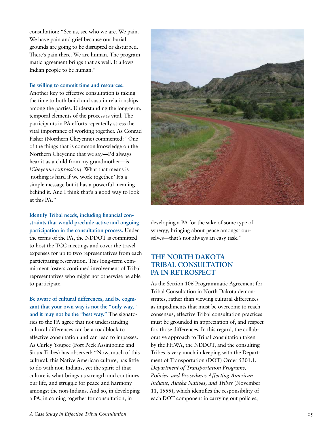consultation: "See us, see who we are. We pain. We have pain and grief because our burial grounds are going to be disrupted or disturbed. There's pain there. We are human. The programmatic agreement brings that as well. It allows Indian people to be human."

#### **Be willing to commit time and resources.**

Another key to effective consultation is taking the time to both build and sustain relationships among the parties. Understanding the long-term, temporal elements of the process is vital. The participants in PA efforts repeatedly stress the vital importance of working together. As Conrad Fisher (Northern Cheyenne) commented: "One of the things that is common knowledge on the Northern Cheyenne that we say—I'd always hear it as a child from my grandmother—is *[Cheyenne expression]*. What that means is 'nothing is hard if we work together.' It's a simple message but it has a powerful meaning behind it. And I think that's a good way to look at this PA."

**Identify Tribal needs, including financial constraints that would preclude active and ongoing participation in the consultation process.** Under the terms of the PA, the NDDOT is committed to host the TCC meetings and cover the travel expenses for up to two representatives from each participating reservation. This long-term commitment fosters continued involvement of Tribal representatives who might not otherwise be able to participate.

**Be aware of cultural differences, and be cognizant that your own way is not the "only way," and it may not be the "best way."** The signatories to the PA agree that not understanding cultural differences can be a roadblock to effective consultation and can lead to impasses. As Curley Youpee (Fort Peck Assiniboine and Sioux Tribes) has observed: "Now, much of this cultural, this Native American culture, has little to do with non-Indians, yet the spirit of that culture is what brings us strength and continues our life, and struggle for peace and harmony amongst the non-Indians. And so, in developing a PA, in coming together for consultation, in



developing a PA for the sake of some type of synergy, bringing about peace amongst ourselves—that's not always an easy task."

# **The North Dakota Tribal Consultation PA in Retrospect**

As the Section 106 Programmatic Agreement for Tribal Consultation in North Dakota demonstrates, rather than viewing cultural differences as impediments that must be overcome to reach consensus, effective Tribal consultation practices must be grounded in appreciation of, and respect for, those differences. In this regard, the collaborative approach to Tribal consultation taken by the FHWA, the NDDOT, and the consulting Tribes is very much in keeping with the Department of Transportation (DOT) Order 5301.1, *Department of Transportation Programs, Policies, and Procedures Affecting American Indians, Alaska Natives, and Tribes* (November 11, 1999), which identifies the responsibility of each DOT component in carrying out policies,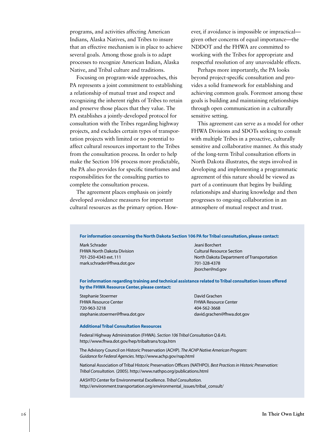programs, and activities affecting American Indians, Alaska Natives, and Tribes to insure that an effective mechanism is in place to achieve several goals. Among those goals is to adapt processes to recognize American Indian, Alaska Native, and Tribal culture and traditions.

Focusing on program-wide approaches, this PA represents a joint commitment to establishing a relationship of mutual trust and respect and recognizing the inherent rights of Tribes to retain and preserve those places that they value. The PA establishes a jointly-developed protocol for consultation with the Tribes regarding highway projects, and excludes certain types of transportation projects with limited or no potential to affect cultural resources important to the Tribes from the consultation process. In order to help make the Section 106 process more predictable, the PA also provides for specific timeframes and responsibilities for the consulting parties to complete the consultation process.

The agreement places emphasis on jointly developed avoidance measures for important cultural resources as the primary option. How-

ever, if avoidance is impossible or impractical given other concerns of equal importance—the NDDOT and the FHWA are committed to working with the Tribes for appropriate and respectful resolution of any unavoidable effects.

Perhaps more importantly, the PA looks beyond project-specific consultation and provides a solid framework for establishing and achieving common goals. Foremost among these goals is building and maintaining relationships through open communication in a culturally sensitive setting.

This agreement can serve as a model for other FHWA Divisions and SDOTs seeking to consult with multiple Tribes in a proactive, culturally sensitive and collaborative manner. As this study of the long-term Tribal consultation efforts in North Dakota illustrates, the steps involved in developing and implementing a programmatic agreement of this nature should be viewed as part of a continuum that begins by building relationships and sharing knowledge and then progresses to ongoing collaboration in an atmosphere of mutual respect and trust.

**For information concerning the North Dakota Section 106 PA for Tribal consultation, please contact:**

Mark Schrader Jeani Borchert FHWA North Dakota Division Cultural Resource Section mark.schrader@fhwa.dot.gov 701-328-4378

701-250-4343 ext. 111 North Dakota Department of Transportation jborcher@nd.gov

**For information regarding training and technical assistance related to Tribal consultation issues offered by the FHWA Resource Center, please contact:**

Stephanie Stoermer David Grachen David Grachen FHWA Resource Center **FHWA Resource Center** 720-963-3218 404-562-3668 stephanie.stoermer@fhwa.dot.gov david.grachen@fhwa.dot.gov

#### **Additional Tribal Consultation Resources**

Federal Highway Administration (FHWA). *Section 106 Tribal Consultation Q & A's.* http://www.fhwa.dot.gov/hep/tribaltrans/tcqa.htm

The Advisory Council on Historic Preservation (ACHP). *The ACHP Native American Program: Guidance for Federal Agencies.* http://www.achp.gov/nap.html

National Association of Tribal Historic Preservation Officers (NATHPO). *Best Practices in Historic Preservation: Tribal Consultation.* (2005). http://www.nathpo.org/publications.html

AASHTO Center for Environmental Excellence. *Tribal Consultation.* http://environment.transportation.org/environmental\_issues/tribal\_consult/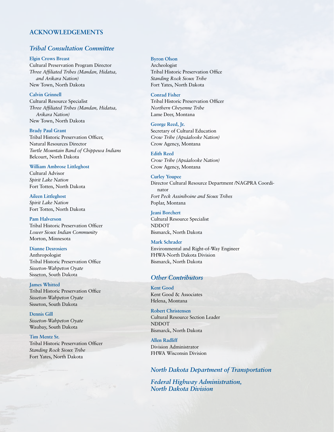#### **ACKNOWLEDGEMENTS**

# *Tribal Consultation Committee*

**Elgin Crows Breast** Cultural Preservation Program Director *Three Affiliated Tribes (Mandan, Hidatsa, and Arikara Nation)* New Town, North Dakota

**Calvin Grinnell** Cultural Resource Specialist *Three Affiliated Tribes (Mandan, Hidatsa, Arikara Nation)* New Town, North Dakota

**Brady Paul Grant** Tribal Historic Preservation Officer, Natural Resources Director *Turtle Mountain Band of Chippewa Indians* Belcourt, North Dakota

#### **William Ambrose Littleghost**

Cultural Advisor *Spirit Lake Nation* Fort Totten, North Dakota

**Aileen Littleghost** *Spirit Lake Nation* Fort Totten, North Dakota

**Pam Halverson** Tribal Historic Preservation Officer *Lower Sioux Indian Community* Morton, Minnesota

**Dianne Desrosiers**

Anthropologist Tribal Historic Preservation Office *Sisseton-Wahpeton Oyate* Sisseton, South Dakota

**James Whitted** Tribal Historic Preservation Office *Sisseton-Wahpeton Oyate* Sisseton, South Dakota

**Dennis Gill** *Sisseton-Wahpeton Oyate* Waubay, South Dakota

**Tim Mentz Sr.** Tribal Historic Preservation Officer *Standing Rock Sioux Tribe* Fort Yates, North Dakota

**Byron Olson**

Archeologist Tribal Historic Preservation Office *Standing Rock Sioux Tribe* Fort Yates, North Dakota

**Conrad Fisher** Tribal Historic Preservation Officer *Northern Cheyenne Tribe* Lame Deer, Montana

**George Reed, Jr.** Secretary of Cultural Education *Crow Tribe (Apsáalooke Nation)*  Crow Agency, Montana

**Edith Reed** *Crow Tribe (Apsáalooke Nation)*  Crow Agency, Montana

**Curley Youpee** Director Cultural Resource Department /NAGPRA Coordinator *Fort Peck Assiniboine and Sioux Tribes* Poplar, Montana

**Jeani Borchert** Cultural Resource Specialist NDDOT Bismarck, North Dakota

**Mark Schrader**

Environmental and Right-of-Way Engineer FHWA-North Dakota Division Bismarck, North Dakota

# *Other Contributors*

**Kent Good** Kent Good & Associates Helena, Montana

**Robert Christensen** Cultural Resource Section Leader NDDOT Bismarck, North Dakota

**Allen Radliff** Division Administrator FHWA Wisconsin Division

*North Dakota Department of Transportation*

*Federal Highway Administration, North Dakota Division*